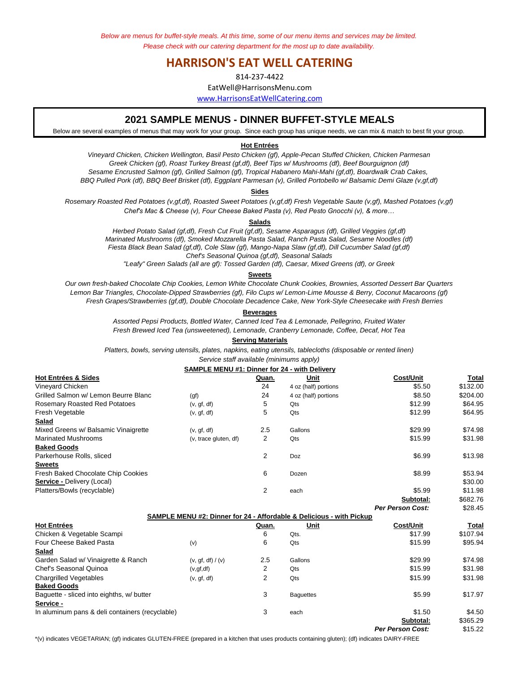*Below are menus for buffet-style meals. At this time, some of our menu items and services may be limited. Please check with our catering department for the most up to date availability.* 

# **HARRISON'S EAT WELL CATERING**

814-237-4422

EatWell@HarrisonsMenu.com

www.HarrisonsEatWellCatering.com

## **2021 SAMPLE MENUS - DINNER BUFFET-STYLE MEALS**

Below are several examples of menus that may work for your group. Since each group has unique needs, we can mix & match to best fit your group.

#### **Hot Entrées**

*Vineyard Chicken, Chicken Wellington, Basil Pesto Chicken (gf), Apple-Pecan Stuffed Chicken, Chicken Parmesan Sesame Encrusted Salmon (gf), Grilled Salmon (gf), Tropical Habanero Mahi-Mahi (gf,df), Boardwalk Crab Cakes, BBQ Pulled Pork (df), BBQ Beef Brisket (df), Eggplant Parmesan (v), Grilled Portobello w/ Balsamic Demi Glaze (v,gf,df) Greek Chicken (gf), Roast Turkey Breast (gf,df), Beef Tips w/ Mushrooms (df), Beef Bourguignon (df)*

**Sides**

*Chef's Mac & Cheese (v), Four Cheese Baked Pasta (v), Red Pesto Gnocchi (v), & more… Rosemary Roasted Red Potatoes (v,gf,df), Roasted Sweet Potatoes (v,gf,df) Fresh Vegetable Saute (v,gf), Mashed Potatoes (v,gf)*

#### **Salads**

*Herbed Potato Salad (gf,df), Fresh Cut Fruit (gf,df), Sesame Asparagus (df), Grilled Veggies (gf,df) Marinated Mushrooms (df), Smoked Mozzarella Pasta Salad, Ranch Pasta Salad, Sesame Noodles (df) Chef's Seasonal Quinoa (gf,df), Seasonal Salads Fiesta Black Bean Salad (gf,df), Cole Slaw (gf), Mango-Napa Slaw (gf,df), Dill Cucumber Salad (gf,df)*

*"Leafy" Green Salads (all are gf): Tossed Garden (df), Caesar, Mixed Greens (df), or Greek*

#### **Sweets**

*Fresh Grapes/Strawberries (gf,df), Double Chocolate Decadence Cake, New York-Style Cheesecake with Fresh Berries Our own fresh-baked Chocolate Chip Cookies, Lemon White Chocolate Chunk Cookies, Brownies, Assorted Dessert Bar Quarters Lemon Bar Triangles, Chocolate-Dipped Strawberries (gf), Filo Cups w/ Lemon-Lime Mousse & Berry, Coconut Macaroons (gf)*

#### **Beverages**

*Assorted Pepsi Products, Bottled Water, Canned Iced Tea & Lemonade, Pellegrino, Fruited Water Fresh Brewed Iced Tea (unsweetened), Lemonade, Cranberry Lemonade, Coffee, Decaf, Hot Tea*

### **Serving Materials**

*Platters, bowls, serving utensils, plates, napkins, eating utensils, tablecloths (disposable or rented linen)*

### *Service staff available (minimums apply)*

| <b>SAMPLE MENU #1: Dinner for 24 - with Delivery</b> |                       |       |                      |           |          |
|------------------------------------------------------|-----------------------|-------|----------------------|-----------|----------|
| <b>Hot Entrées &amp; Sides</b>                       |                       | Quan. | Unit                 | Cost/Unit | Total    |
| Vinevard Chicken                                     |                       | 24    | 4 oz (half) portions | \$5.50    | \$132.00 |
| Grilled Salmon w/ Lemon Beurre Blanc                 | (qf)                  | 24    | 4 oz (half) portions | \$8.50    | \$204.00 |
| <b>Rosemary Roasted Red Potatoes</b>                 | (v, gf, df)           | 5     | Qts                  | \$12.99   | \$64.95  |
| Fresh Vegetable                                      | (v, gf, df)           | 5     | Qts                  | \$12.99   | \$64.95  |
| Salad                                                |                       |       |                      |           |          |
| Mixed Greens w/ Balsamic Vinaigrette                 | (v, gf, df)           | 2.5   | Gallons              | \$29.99   | \$74.98  |
| <b>Marinated Mushrooms</b>                           | (v, trace gluten, df) | 2     | Qts                  | \$15.99   | \$31.98  |
| <b>Baked Goods</b>                                   |                       |       |                      |           |          |
| Parkerhouse Rolls, sliced                            |                       | 2     | Doz                  | \$6.99    | \$13.98  |
| <b>Sweets</b>                                        |                       |       |                      |           |          |
| Fresh Baked Chocolate Chip Cookies                   |                       | 6     | Dozen                | \$8.99    | \$53.94  |
| <b>Service - Delivery (Local)</b>                    |                       |       |                      |           | \$30.00  |
| Platters/Bowls (recyclable)                          |                       | 2     | each                 | \$5.99    | \$11.98  |
|                                                      |                       |       |                      | Subtotal: | \$682.76 |

**Per Person Cost:** \$28.45 **Hot Entrées Quan. Unit Cost/Unit Total SAMPLE MENU #2: Dinner for 24 - Affordable & Delicious - with Pickup**

| посышеес                                        |                   | wuan. | um               | ๛๛๛๛      | ι νιαι   |
|-------------------------------------------------|-------------------|-------|------------------|-----------|----------|
| Chicken & Vegetable Scampi                      |                   | 6     | Qts.             | \$17.99   | \$107.94 |
| Four Cheese Baked Pasta                         | (v)               | 6     | Qts              | \$15.99   | \$95.94  |
| Salad                                           |                   |       |                  |           |          |
| Garden Salad w/ Vinaigrette & Ranch             | (v, gf, df) / (v) | 2.5   | Gallons          | \$29.99   | \$74.98  |
| Chef's Seasonal Quinoa                          | (v, gf, df)       | 2     | Qts              | \$15.99   | \$31.98  |
| <b>Chargrilled Vegetables</b>                   | (v, gf, df)       | 2     | Qts              | \$15.99   | \$31.98  |
| <b>Baked Goods</b>                              |                   |       |                  |           |          |
| Baquette - sliced into eighths, w/ butter       |                   | 3     | <b>Baquettes</b> | \$5.99    | \$17.97  |
| Service -                                       |                   |       |                  |           |          |
| In aluminum pans & deli containers (recyclable) |                   | 3     | each             | \$1.50    | \$4.50   |
|                                                 |                   |       |                  | Subtotal: | \$365.29 |

**Per Person Cost:** \$15.22

\*(v) indicates VEGETARIAN; (gf) indicates GLUTEN-FREE (prepared in a kitchen that uses products containing gluten); (df) indicates DAIRY-FREE